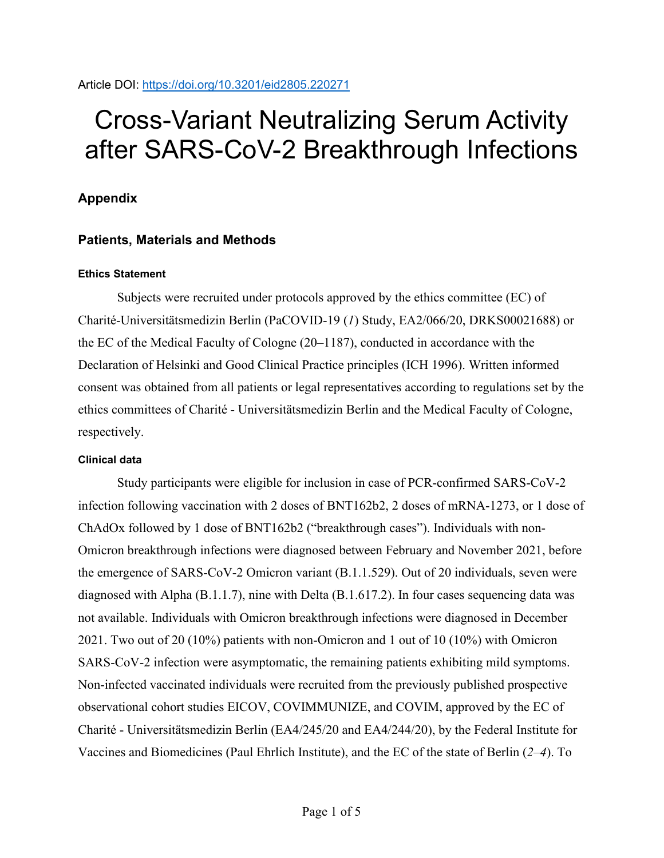# Cross-Variant Neutralizing Serum Activity after SARS-CoV-2 Breakthrough Infections

# **Appendix**

## **Patients, Materials and Methods**

## **Ethics Statement**

Subjects were recruited under protocols approved by the ethics committee (EC) of Charité-Universitätsmedizin Berlin (PaCOVID-19 (*1*) Study, EA2/066/20, DRKS00021688) or the EC of the Medical Faculty of Cologne (20–1187), conducted in accordance with the Declaration of Helsinki and Good Clinical Practice principles (ICH 1996). Written informed consent was obtained from all patients or legal representatives according to regulations set by the ethics committees of Charité - Universitätsmedizin Berlin and the Medical Faculty of Cologne, respectively.

### **Clinical data**

Study participants were eligible for inclusion in case of PCR-confirmed SARS-CoV-2 infection following vaccination with 2 doses of BNT162b2, 2 doses of mRNA-1273, or 1 dose of ChAdOx followed by 1 dose of BNT162b2 ("breakthrough cases"). Individuals with non-Omicron breakthrough infections were diagnosed between February and November 2021, before the emergence of SARS-CoV-2 Omicron variant (B.1.1.529). Out of 20 individuals, seven were diagnosed with Alpha (B.1.1.7), nine with Delta (B.1.617.2). In four cases sequencing data was not available. Individuals with Omicron breakthrough infections were diagnosed in December 2021. Two out of 20 (10%) patients with non-Omicron and 1 out of 10 (10%) with Omicron SARS-CoV-2 infection were asymptomatic, the remaining patients exhibiting mild symptoms. Non-infected vaccinated individuals were recruited from the previously published prospective observational cohort studies EICOV, COVIMMUNIZE, and COVIM, approved by the EC of Charité - Universitätsmedizin Berlin (EA4/245/20 and EA4/244/20), by the Federal Institute for Vaccines and Biomedicines (Paul Ehrlich Institute), and the EC of the state of Berlin (*2*–*4*). To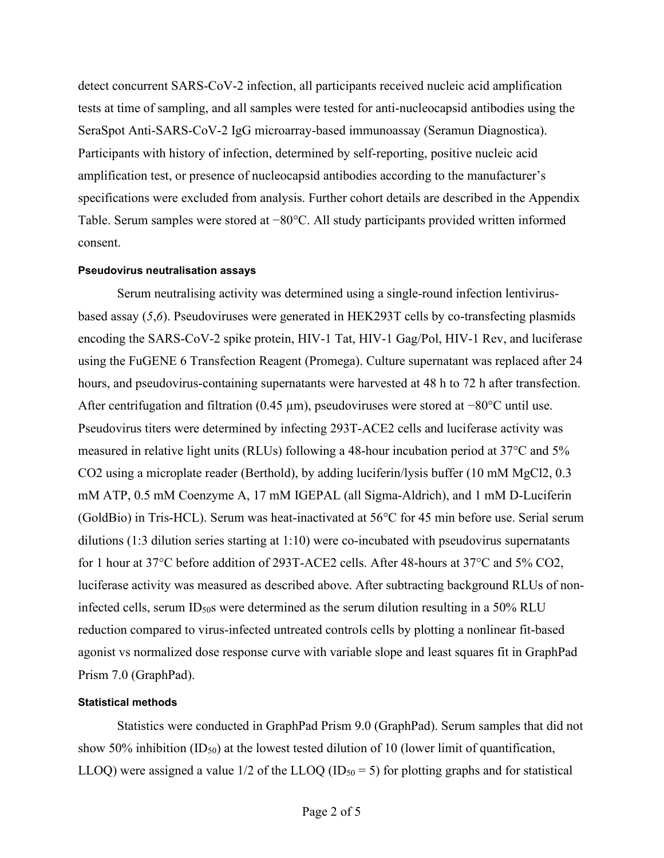detect concurrent SARS-CoV-2 infection, all participants received nucleic acid amplification tests at time of sampling, and all samples were tested for anti-nucleocapsid antibodies using the SeraSpot Anti-SARS-CoV-2 IgG microarray-based immunoassay (Seramun Diagnostica). Participants with history of infection, determined by self-reporting, positive nucleic acid amplification test, or presence of nucleocapsid antibodies according to the manufacturer's specifications were excluded from analysis. Further cohort details are described in the Appendix Table. Serum samples were stored at −80°C. All study participants provided written informed consent.

#### **Pseudovirus neutralisation assays**

Serum neutralising activity was determined using a single-round infection lentivirusbased assay (*5*,*6*). Pseudoviruses were generated in HEK293T cells by co-transfecting plasmids encoding the SARS-CoV-2 spike protein, HIV-1 Tat, HIV-1 Gag/Pol, HIV-1 Rev, and luciferase using the FuGENE 6 Transfection Reagent (Promega). Culture supernatant was replaced after 24 hours, and pseudovirus-containing supernatants were harvested at 48 h to 72 h after transfection. After centrifugation and filtration (0.45 µm), pseudoviruses were stored at −80°C until use. Pseudovirus titers were determined by infecting 293T-ACE2 cells and luciferase activity was measured in relative light units (RLUs) following a 48-hour incubation period at 37°C and 5% CO2 using a microplate reader (Berthold), by adding luciferin/lysis buffer (10 mM MgCl2, 0.3 mM ATP, 0.5 mM Coenzyme A, 17 mM IGEPAL (all Sigma-Aldrich), and 1 mM D-Luciferin (GoldBio) in Tris-HCL). Serum was heat-inactivated at 56°C for 45 min before use. Serial serum dilutions (1:3 dilution series starting at 1:10) were co-incubated with pseudovirus supernatants for 1 hour at 37°C before addition of 293T-ACE2 cells. After 48-hours at 37°C and 5% CO2, luciferase activity was measured as described above. After subtracting background RLUs of noninfected cells, serum ID<sub>50</sub>s were determined as the serum dilution resulting in a 50% RLU reduction compared to virus-infected untreated controls cells by plotting a nonlinear fit-based agonist vs normalized dose response curve with variable slope and least squares fit in GraphPad Prism 7.0 (GraphPad).

#### **Statistical methods**

Statistics were conducted in GraphPad Prism 9.0 (GraphPad). Serum samples that did not show 50% inhibition  $(ID_{50})$  at the lowest tested dilution of 10 (lower limit of quantification, LLOQ) were assigned a value  $1/2$  of the LLOQ (ID<sub>50</sub> = 5) for plotting graphs and for statistical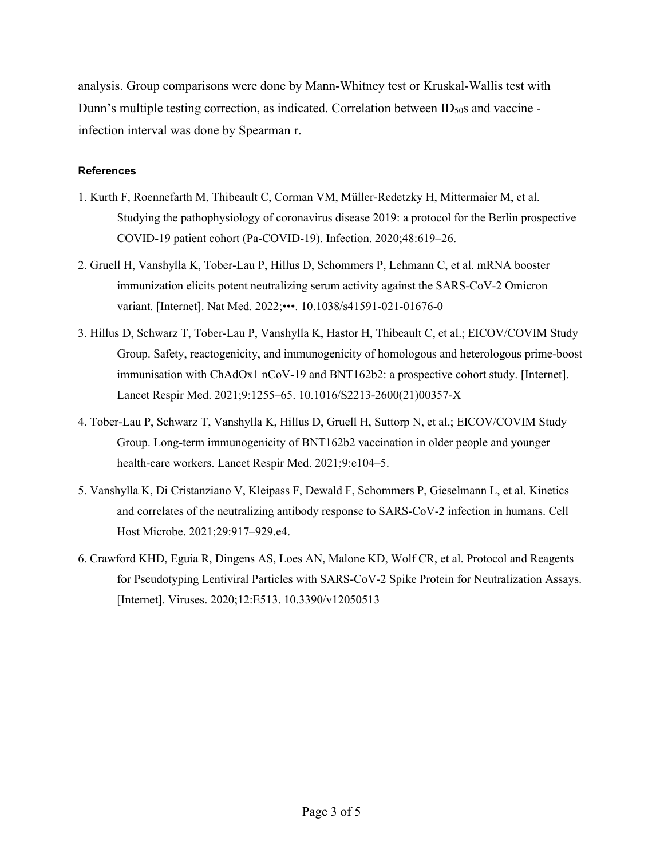analysis. Group comparisons were done by Mann-Whitney test or Kruskal-Wallis test with Dunn's multiple testing correction, as indicated. Correlation between ID $_{50}$ s and vaccine infection interval was done by Spearman r.

#### **References**

- 1. Kurth F, Roennefarth M, Thibeault C, Corman VM, Müller-Redetzky H, Mittermaier M, et al. Studying the pathophysiology of coronavirus disease 2019: a protocol for the Berlin prospective COVID-19 patient cohort (Pa-COVID-19). Infection. 2020;48:619–26.
- 2. Gruell H, Vanshylla K, Tober-Lau P, Hillus D, Schommers P, Lehmann C, et al. mRNA booster immunization elicits potent neutralizing serum activity against the SARS-CoV-2 Omicron variant. [Internet]. Nat Med. 2022;•••. 10.1038/s41591-021-01676-0
- 3. Hillus D, Schwarz T, Tober-Lau P, Vanshylla K, Hastor H, Thibeault C, et al.; EICOV/COVIM Study Group. Safety, reactogenicity, and immunogenicity of homologous and heterologous prime-boost immunisation with ChAdOx1 nCoV-19 and BNT162b2: a prospective cohort study. [Internet]. Lancet Respir Med. 2021;9:1255–65. 10.1016/S2213-2600(21)00357-X
- 4. Tober-Lau P, Schwarz T, Vanshylla K, Hillus D, Gruell H, Suttorp N, et al.; EICOV/COVIM Study Group. Long-term immunogenicity of BNT162b2 vaccination in older people and younger health-care workers. Lancet Respir Med. 2021;9:e104–5.
- 5. Vanshylla K, Di Cristanziano V, Kleipass F, Dewald F, Schommers P, Gieselmann L, et al. Kinetics and correlates of the neutralizing antibody response to SARS-CoV-2 infection in humans. Cell Host Microbe. 2021;29:917–929.e4.
- 6. Crawford KHD, Eguia R, Dingens AS, Loes AN, Malone KD, Wolf CR, et al. Protocol and Reagents for Pseudotyping Lentiviral Particles with SARS-CoV-2 Spike Protein for Neutralization Assays. [Internet]. Viruses. 2020;12:E513. 10.3390/v12050513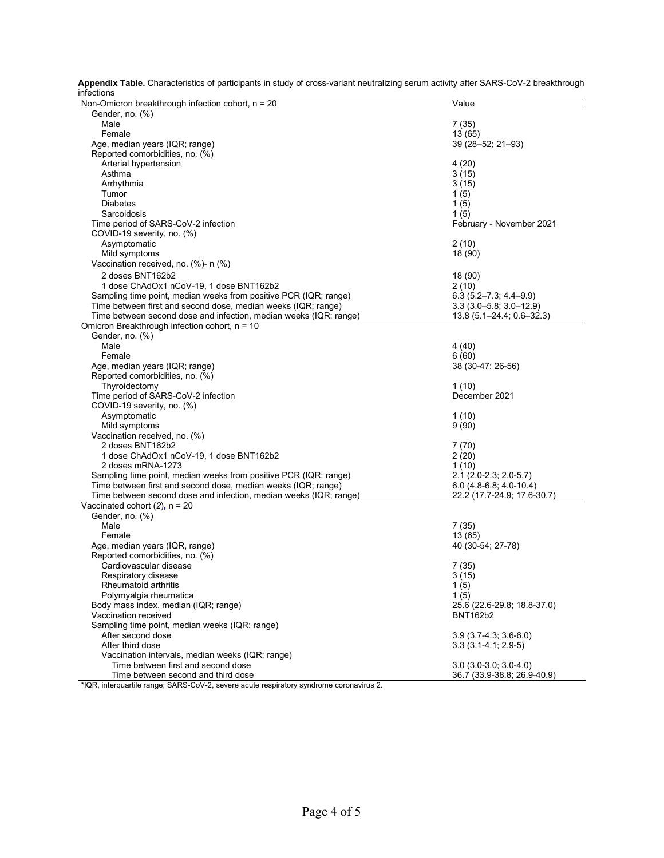|            |  |  | Appendix Table. Characteristics of participants in study of cross-variant neutralizing serum activity after SARS-CoV-2 breakthrough |  |
|------------|--|--|-------------------------------------------------------------------------------------------------------------------------------------|--|
| infections |  |  |                                                                                                                                     |  |

| IIIIecuons                                                        |                                                |
|-------------------------------------------------------------------|------------------------------------------------|
| Non-Omicron breakthrough infection cohort, $n = 20$               | Value                                          |
| Gender, no. (%)                                                   |                                                |
| Male                                                              | 7(35)                                          |
| Female                                                            | 13 (65)                                        |
| Age, median years (IQR; range)                                    | 39 (28-52; 21-93)                              |
| Reported comorbidities, no. (%)                                   |                                                |
| Arterial hypertension                                             | 4(20)                                          |
| Asthma                                                            | 3(15)                                          |
| Arrhythmia                                                        | 3(15)                                          |
| Tumor                                                             | 1(5)                                           |
| <b>Diabetes</b>                                                   | 1(5)                                           |
| Sarcoidosis                                                       | 1(5)                                           |
| Time period of SARS-CoV-2 infection                               | February - November 2021                       |
| COVID-19 severity, no. (%)                                        |                                                |
| Asymptomatic                                                      | 2(10)                                          |
| Mild symptoms                                                     | 18 (90)                                        |
| Vaccination received, no. (%)- n (%)                              |                                                |
| 2 doses BNT162b2                                                  | 18 (90)                                        |
| 1 dose ChAdOx1 nCoV-19, 1 dose BNT162b2                           | 2(10)                                          |
| Sampling time point, median weeks from positive PCR (IQR; range)  | $6.3(5.2 - 7.3, 4.4 - 9.9)$                    |
| Time between first and second dose, median weeks (IQR; range)     | $3.3(3.0 - 5.8, 3.0 - 12.9)$                   |
| Time between second dose and infection, median weeks (IQR; range) | $13.8(5.1 - 24.4, 0.6 - 32.3)$                 |
| Omicron Breakthrough infection cohort, n = 10                     |                                                |
| Gender, no. (%)                                                   |                                                |
| Male                                                              | 4(40)                                          |
| Female                                                            | 6(60)                                          |
| Age, median years (IQR; range)                                    | 38 (30-47; 26-56)                              |
| Reported comorbidities, no. (%)                                   |                                                |
| Thyroidectomy                                                     | 1(10)                                          |
| Time period of SARS-CoV-2 infection                               | December 2021                                  |
| COVID-19 severity, no. (%)                                        |                                                |
| Asymptomatic                                                      | 1(10)                                          |
| Mild symptoms                                                     | 9(90)                                          |
| Vaccination received, no. (%)                                     |                                                |
| 2 doses BNT162b2                                                  | 7(70)                                          |
| 1 dose ChAdOx1 nCoV-19, 1 dose BNT162b2                           | 2(20)                                          |
| 2 doses mRNA-1273                                                 | 1(10)                                          |
| Sampling time point, median weeks from positive PCR (IQR; range)  | 2.1 (2.0-2.3; 2.0-5.7)                         |
| Time between first and second dose, median weeks (IQR; range)     | $6.0$ (4.8-6.8; 4.0-10.4)                      |
| Time between second dose and infection, median weeks (IQR; range) | 22.2 (17.7-24.9; 17.6-30.7)                    |
| Vaccinated cohort $(2)$ , n = 20                                  |                                                |
| Gender, no. (%)                                                   |                                                |
| Male                                                              | 7(35)                                          |
| Female                                                            | 13 (65)                                        |
| Age, median years (IQR, range)                                    |                                                |
| Reported comorbidities, no. (%)                                   | 40 (30-54; 27-78)                              |
|                                                                   |                                                |
| Cardiovascular disease                                            | 7(35)                                          |
| Respiratory disease                                               | 3(15)                                          |
| Rheumatoid arthritis<br>Polymyalgia rheumatica                    | 1(5)                                           |
|                                                                   | 1(5)                                           |
| Body mass index, median (IQR; range)                              | 25.6 (22.6-29.8; 18.8-37.0)<br><b>BNT162b2</b> |
| Vaccination received                                              |                                                |
| Sampling time point, median weeks (IQR; range)                    |                                                |
| After second dose                                                 | $3.9(3.7-4.3, 3.6-6.0)$                        |
| After third dose                                                  | $3.3(3.1 - 4.1; 2.9 - 5)$                      |
| Vaccination intervals, median weeks (IQR; range)                  |                                                |
| Time between first and second dose                                | $3.0(3.0-3.0:3.0-4.0)$                         |
| Time between second and third dose                                | 36.7 (33.9-38.8; 26.9-40.9)                    |

\*IQR, interquartile range; SARS-CoV-2, severe acute respiratory syndrome coronavirus 2.